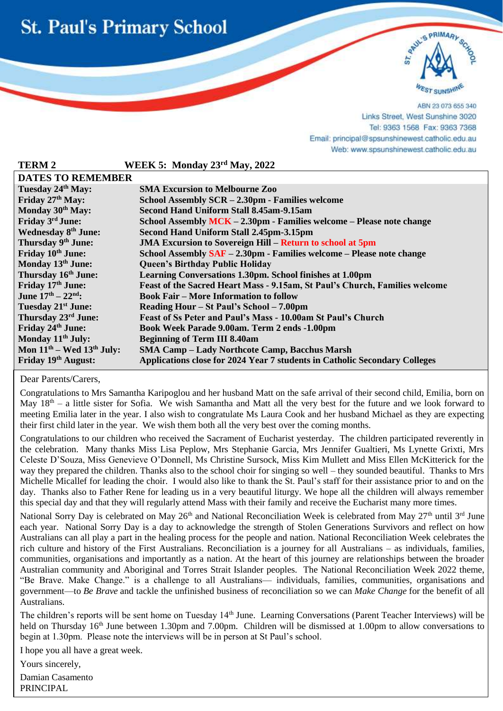



ABN 23 073 655 340 Links Street, West Sunshine 3020 Tel: 9363 1568 Fax: 9363 7368 Email: principal@spsunshinewest.catholic.edu.au Web: www.spsunshinewest.catholic.edu.au

| <b>TERM 2</b>                  | WEEK 5: Monday 23rd May, 2022                                               |  |  |  |
|--------------------------------|-----------------------------------------------------------------------------|--|--|--|
| <b>DATES TO REMEMBER</b>       |                                                                             |  |  |  |
| Tuesday 24th May:              | <b>SMA Excursion to Melbourne Zoo</b>                                       |  |  |  |
| Friday 27th May:               | School Assembly SCR – 2.30pm - Families welcome                             |  |  |  |
| Monday 30th May:               | Second Hand Uniform Stall 8.45am-9.15am                                     |  |  |  |
| Friday 3rd June:               | School Assembly MCK - 2.30pm - Families welcome - Please note change        |  |  |  |
| <b>Wednesday 8th June:</b>     | Second Hand Uniform Stall 2.45pm-3.15pm                                     |  |  |  |
| Thursday 9th June:             | <b>JMA Excursion to Sovereign Hill – Return to school at 5pm</b>            |  |  |  |
| Friday 10th June:              | School Assembly SAF - 2.30pm - Families welcome - Please note change        |  |  |  |
| Monday 13th June:              | <b>Queen's Birthday Public Holiday</b>                                      |  |  |  |
| Thursday 16th June:            | Learning Conversations 1.30pm. School finishes at 1.00pm                    |  |  |  |
| Friday 17th June:              | Feast of the Sacred Heart Mass - 9.15am, St Paul's Church, Families welcome |  |  |  |
| June $17^{th} - 22^{nd}$ :     | <b>Book Fair - More Information to follow</b>                               |  |  |  |
| Tuesday 21 <sup>st</sup> June: | Reading Hour – St Paul's School – 7.00pm                                    |  |  |  |
| Thursday 23rd June:            | Feast of Ss Peter and Paul's Mass - 10.00am St Paul's Church                |  |  |  |
| Friday 24th June:              | Book Week Parade 9.00am. Term 2 ends -1.00pm                                |  |  |  |
| Monday 11 <sup>th</sup> July:  | <b>Beginning of Term III 8.40am</b>                                         |  |  |  |
| Mon $11th$ – Wed $13th$ July:  | <b>SMA Camp - Lady Northcote Camp, Bacchus Marsh</b>                        |  |  |  |
| Friday 19th August:            | Applications close for 2024 Year 7 students in Catholic Secondary Colleges  |  |  |  |

Dear Parents/Carers,

l

Congratulations to Mrs Samantha Karipoglou and her husband Matt on the safe arrival of their second child, Emilia, born on May  $18<sup>th</sup> - a$  little sister for Sofia. We wish Samantha and Matt all the very best for the future and we look forward to meeting Emilia later in the year. I also wish to congratulate Ms Laura Cook and her husband Michael as they are expecting their first child later in the year. We wish them both all the very best over the coming months.

Congratulations to our children who received the Sacrament of Eucharist yesterday. The children participated reverently in the celebration. Many thanks Miss Lisa Peplow, Mrs Stephanie Garcia, Mrs Jennifer Gualtieri, Ms Lynette Grixti, Mrs Celeste D'Souza, Miss Genevieve O'Donnell, Ms Christine Sursock, Miss Kim Mullett and Miss Ellen McKitterick for the way they prepared the children. Thanks also to the school choir for singing so well – they sounded beautiful. Thanks to Mrs Michelle Micallef for leading the choir. I would also like to thank the St. Paul's staff for their assistance prior to and on the day. Thanks also to Father Rene for leading us in a very beautiful liturgy. We hope all the children will always remember this special day and that they will regularly attend Mass with their family and receive the Eucharist many more times.

National Sorry Day is celebrated on May 26<sup>th</sup> and National Reconciliation Week is celebrated from May 27<sup>th</sup> until 3<sup>rd</sup> June each year. National Sorry Day is a day to acknowledge the strength of Stolen Generations Survivors and reflect on how Australians can all play a part in the healing process for the people and nation. National Reconciliation Week celebrates the rich culture and history of the First Australians. Reconciliation is a journey for all Australians – as individuals, families, communities, organisations and importantly as a nation. At the heart of this journey are relationships between the broader Australian community and Aboriginal and Torres Strait Islander peoples. The National Reconciliation Week 2022 theme, "Be Brave. Make Change." is a challenge to all Australians— individuals, families, communities, organisations and government—to *Be Brave* and tackle the unfinished business of reconciliation so we can *Make Change* for the benefit of all Australians.

The children's reports will be sent home on Tuesday 14<sup>th</sup> June. Learning Conversations (Parent Teacher Interviews) will be held on Thursday 16<sup>th</sup> June between 1.30pm and 7.00pm. Children will be dismissed at 1.00pm to allow conversations to begin at 1.30pm. Please note the interviews will be in person at St Paul's school.

I hope you all have a great week.

Yours sincerely, Damian Casamento PRINCIPAL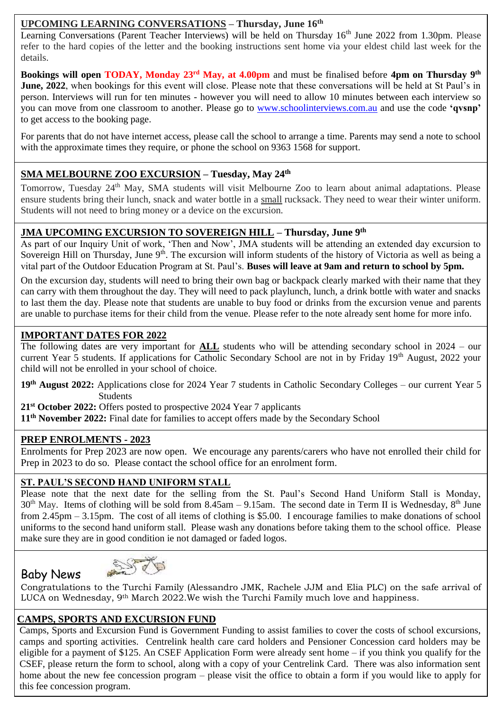# **UPCOMING LEARNING CONVERSATIONS – Thursday, June 16th**

Learning Conversations (Parent Teacher Interviews) will be held on Thursday 16<sup>th</sup> June 2022 from 1.30pm. Please refer to the hard copies of the letter and the booking instructions sent home via your eldest child last week for the details.

**Bookings will open TODAY, Monday 23rd May, at 4.00pm** and must be finalised before **4pm on Thursday 9th June, 2022**, when bookings for this event will close. Please note that these conversations will be held at St Paul's in person. Interviews will run for ten minutes - however you will need to allow 10 minutes between each interview so you can move from one classroom to another. Please go to [www.schoolinterviews.com.au](http://www.schoolinterviews.com.au/) and use the code **'qvsnp'** to get access to the booking page.

For parents that do not have internet access, please call the school to arrange a time. Parents may send a note to school with the approximate times they require, or phone the school on 9363 1568 for support.

# **SMA MELBOURNE ZOO EXCURSION – Tuesday, May 24th**

Tomorrow, Tuesday 24<sup>th</sup> May, SMA students will visit Melbourne Zoo to learn about animal adaptations. Please ensure students bring their lunch, snack and water bottle in a small rucksack. They need to wear their winter uniform. Students will not need to bring money or a device on the excursion.

# **JMA UPCOMING EXCURSION TO SOVEREIGN HILL – Thursday, June 9th**

As part of our Inquiry Unit of work, 'Then and Now', JMA students will be attending an extended day excursion to Sovereign Hill on Thursday, June  $9<sup>th</sup>$ . The excursion will inform students of the history of Victoria as well as being a vital part of the Outdoor Education Program at St. Paul's. **Buses will leave at 9am and return to school by 5pm.**

to last them the day. Please note that students are unable to buy food or drinks from the excursion venue and parents to last them the day. Please note that students are unable to buy food or drinks from the excursion venu On the excursion day, students will need to bring their own bag or backpack clearly marked with their name that they can carry with them throughout the day. They will need to pack playlunch, lunch, a drink bottle with water and snacks are unable to purchase items for their child from the venue. Please refer to the note already sent home for more info.

### **IMPORTANT DATES FOR 2022**

 child will not be enrolled in your school of choice. The following dates are very important for **ALL** students who will be attending secondary school in 2024 – our current Year 5 students. If applications for Catholic Secondary School are not in by Friday 19<sup>th</sup> August, 2022 your

**19th August 2022:** Applications close for 2024 Year 7 students in Catholic Secondary Colleges – our current Year 5 **Students** 

**21st October 2022:** Offers posted to prospective 2024 Year 7 applicants

**11th November 2022:** Final date for families to accept offers made by the Secondary School

# **PREP ENROLMENTS - 2023**

Baby News

Enrolments for Prep 2023 are now open. We encourage any parents/carers who have not enrolled their child for Prep in 2023 to do so. Please contact the school office for an enrolment form.

## **ST. PAUL'S SECOND HAND UNIFORM STALL**

Please note that the next date for the selling from the St. Paul's Second Hand Uniform Stall is Monday,  $30<sup>th</sup>$  May. Items of clothing will be sold from 8.45am – 9.15am. The second date in Term II is Wednesday,  $8<sup>th</sup>$  June from 2.45pm – 3.15pm. The cost of all items of clothing is \$5.00. I encourage families to make donations of school uniforms to the second hand uniform stall. Please wash any donations before taking them to the school office. Please make sure they are in good condition ie not damaged or faded logos.



Congratulations to the Turchi Family (Alessandro JMK, Rachele JJM and Elia PLC) on the safe arrival of LUCA on Wednesday, 9th March 2022.We wish the Turchi Family much love and happiness.

# **CAMPS, SPORTS AND EXCURSION FUND**

Camps, Sports and Excursion Fund is Government Funding to assist families to cover the costs of school excursions, camps and sporting activities. Centrelink health care card holders and Pensioner Concession card holders may be eligible for a payment of \$125. An CSEF Application Form were already sent home – if you think you qualify for the CSEF, please return the form to school, along with a copy of your Centrelink Card. There was also information sent home about the new fee concession program – please visit the office to obtain a form if you would like to apply for this fee concession program.